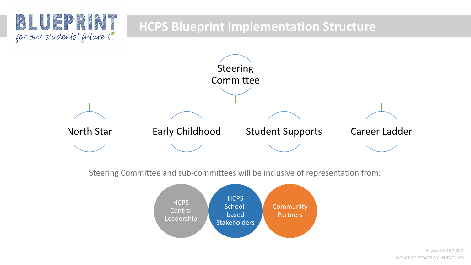

Steering Committee and sub-committees will be inclusive of representation from:

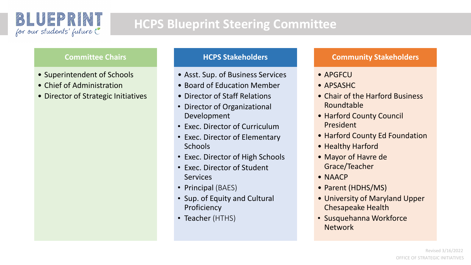

# **HCPS Blueprint Steering Committee**

#### **Committee Chairs**

- Superintendent of Schools
- Chief of Administration
- Director of Strategic Initiatives

#### **HCPS Stakeholders**

- Asst. Sup. of Business Services
- Board of Education Member
- Director of Staff Relations
- Director of Organizational Development
- Exec. Director of Curriculum
- Exec. Director of Elementary **Schools**
- Exec. Director of High Schools
- Exec. Director of Student Services
- Principal (BAES)
- Sup. of Equity and Cultural Proficiency
- Teacher (HTHS)

#### **Community Stakeholders**

- APGFCU
- APSASHC
- Chair of the Harford Business Roundtable
- Harford County Council President
- Harford County Ed Foundation
- Healthy Harford
- Mayor of Havre de Grace/Teacher
- NAACP
- Parent (HDHS/MS)
- University of Maryland Upper Chesapeake Health
- Susquehanna Workforce Network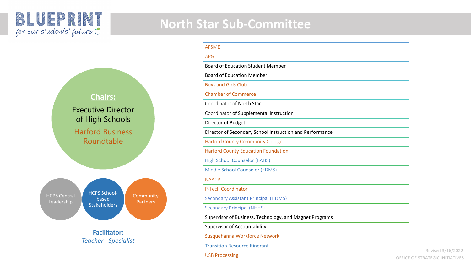## **North Star Sub-Committee**



| <b>AFSME</b>                                             |  |
|----------------------------------------------------------|--|
| <b>APG</b>                                               |  |
| <b>Board of Education Student Member</b>                 |  |
| <b>Board of Education Member</b>                         |  |
| <b>Boys and Girls Club</b>                               |  |
| <b>Chamber of Commerce</b>                               |  |
| Coordinator of North Star                                |  |
| Coordinator of Supplemental Instruction                  |  |
| Director of Budget                                       |  |
| Director of Secondary School Instruction and Performance |  |
| <b>Harford County Community College</b>                  |  |
| <b>Harford County Education Foundation</b>               |  |
| High School Counselor (BAHS)                             |  |
| Middle School Counselor (EDMS)                           |  |
| <b>NAACP</b>                                             |  |
| P-Tech Coordinator                                       |  |
| Secondary Assistant Principal (HDMS)                     |  |
| <b>Secondary Principal (NHHS)</b>                        |  |
| Supervisor of Business, Technology, and Magnet Programs  |  |
| Supervisor of Accountability                             |  |
| Susquehanna Workforce Network                            |  |
| <b>Transition Resource Itinerant</b>                     |  |
| <b>USB Processing</b>                                    |  |

Revised 3/16/2022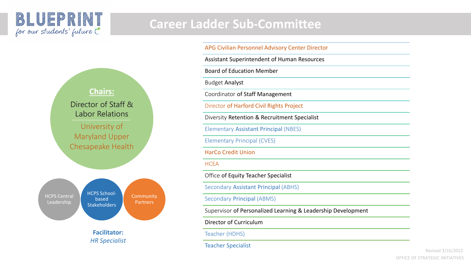### BLUEPRINT for our students' future

## **Career Ladder Sub-Committee**

APG Civilian Personnel Advisory Center Director

Assistant Superintendent of Human Resources

Board of Education Member

Budget Analyst

Coordinator of Staff Management

Director of Harford Civil Rights Project

Diversity Retention & Recruitment Specialist

Elementary Assistant Principal (NBES)

Elementary Principal (CVES)

HarCo Credit Union

#### **HCEA**

Office of Equity Teacher Specialist

Secondary Assistant Principal (ABHS)

Secondary Principal (ABMS)

Supervisor of Personalized Learning & Leadership Development

Director of Curriculum

Teacher (HDHS)

Teacher Specialist



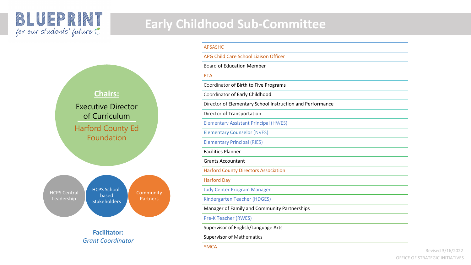### BLUEPRINT for our students' future





*Grant Coordinator*

| <b>APSASHC</b>                                            |  |
|-----------------------------------------------------------|--|
| APG Child Care School Liaison Officer                     |  |
| <b>Board of Education Member</b>                          |  |
| <b>PTA</b>                                                |  |
| Coordinator of Birth to Five Programs                     |  |
| Coordinator of Early Childhood                            |  |
| Director of Elementary School Instruction and Performance |  |
| Director of Transportation                                |  |
| <b>Elementary Assistant Principal (HWES)</b>              |  |
| <b>Elementary Counselor (NVES)</b>                        |  |
| <b>Elementary Principal (RIES)</b>                        |  |
| <b>Facilities Planner</b>                                 |  |
| <b>Grants Accountant</b>                                  |  |
| <b>Harford County Directors Association</b>               |  |
| <b>Harford Day</b>                                        |  |
| <b>Judy Center Program Manager</b>                        |  |
| Kindergarten Teacher (HDGES)                              |  |
| Manager of Family and Community Partnerships              |  |
| <b>Pre-K Teacher (RWES)</b>                               |  |
| Supervisor of English/Language Arts                       |  |
| <b>Supervisor of Mathematics</b>                          |  |
| <b>YMCA</b>                                               |  |